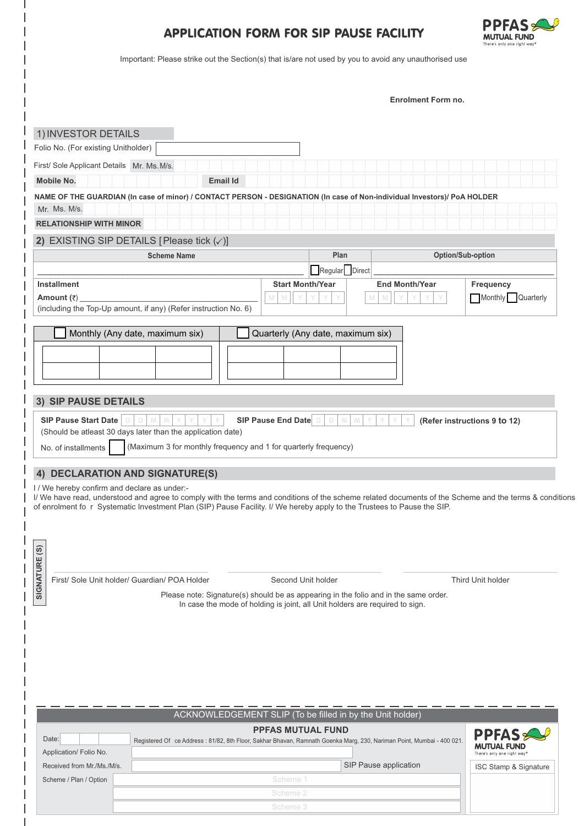## APPLICATION FORM FOR SIP PAUSE FACILITY



Important: Please strike out the Section(s) that is/are not used by you to avoid any unauthorised use

**Enrolment Form no.**

|                                                                                                                                                                                                                                                 | 1) INVESTOR DETAILS                                                                                                                                                  |                                                                 |                                                           |                           |                                                                                                                          |                                                                                                                                                        |
|-------------------------------------------------------------------------------------------------------------------------------------------------------------------------------------------------------------------------------------------------|----------------------------------------------------------------------------------------------------------------------------------------------------------------------|-----------------------------------------------------------------|-----------------------------------------------------------|---------------------------|--------------------------------------------------------------------------------------------------------------------------|--------------------------------------------------------------------------------------------------------------------------------------------------------|
|                                                                                                                                                                                                                                                 | Folio No. (For existing Unitholder)                                                                                                                                  |                                                                 |                                                           |                           |                                                                                                                          |                                                                                                                                                        |
|                                                                                                                                                                                                                                                 | First/ Sole Applicant Details Mr. Ms. M/s.                                                                                                                           |                                                                 |                                                           |                           |                                                                                                                          |                                                                                                                                                        |
|                                                                                                                                                                                                                                                 | <b>Mobile No.</b>                                                                                                                                                    |                                                                 | <b>Email Id</b>                                           |                           |                                                                                                                          |                                                                                                                                                        |
|                                                                                                                                                                                                                                                 |                                                                                                                                                                      |                                                                 |                                                           |                           | NAME OF THE GUARDIAN (In case of minor) / CONTACT PERSON - DESIGNATION (In case of Non-individual Investors)/ PoA HOLDER |                                                                                                                                                        |
|                                                                                                                                                                                                                                                 | Mr. Ms. M/s.                                                                                                                                                         |                                                                 |                                                           |                           |                                                                                                                          |                                                                                                                                                        |
|                                                                                                                                                                                                                                                 | <b>RELATIONSHIP WITH MINOR</b>                                                                                                                                       |                                                                 |                                                           |                           |                                                                                                                          |                                                                                                                                                        |
|                                                                                                                                                                                                                                                 |                                                                                                                                                                      | 2) EXISTING SIP DETAILS [Please tick $(\checkmark)$ ]           |                                                           |                           |                                                                                                                          |                                                                                                                                                        |
|                                                                                                                                                                                                                                                 |                                                                                                                                                                      | <b>Scheme Name</b>                                              |                                                           | Plan<br>Option/Sub-option |                                                                                                                          |                                                                                                                                                        |
|                                                                                                                                                                                                                                                 |                                                                                                                                                                      |                                                                 |                                                           | Regular Direct            |                                                                                                                          |                                                                                                                                                        |
|                                                                                                                                                                                                                                                 | <b>Installment</b>                                                                                                                                                   |                                                                 |                                                           | <b>Start Month/Year</b>   | <b>End Month/Year</b>                                                                                                    | <b>Frequency</b>                                                                                                                                       |
|                                                                                                                                                                                                                                                 | Amount $(\bar{z})$                                                                                                                                                   | (including the Top-Up amount, if any) (Refer instruction No. 6) | M<br>M                                                    |                           |                                                                                                                          | Monthly Quarterly                                                                                                                                      |
|                                                                                                                                                                                                                                                 |                                                                                                                                                                      |                                                                 |                                                           |                           |                                                                                                                          |                                                                                                                                                        |
|                                                                                                                                                                                                                                                 | Monthly (Any date, maximum six)<br>Quarterly (Any date, maximum six)                                                                                                 |                                                                 |                                                           |                           |                                                                                                                          |                                                                                                                                                        |
|                                                                                                                                                                                                                                                 |                                                                                                                                                                      |                                                                 |                                                           |                           |                                                                                                                          |                                                                                                                                                        |
|                                                                                                                                                                                                                                                 |                                                                                                                                                                      |                                                                 |                                                           |                           |                                                                                                                          |                                                                                                                                                        |
|                                                                                                                                                                                                                                                 |                                                                                                                                                                      |                                                                 |                                                           |                           |                                                                                                                          |                                                                                                                                                        |
| 3)                                                                                                                                                                                                                                              | <b>SIP PAUSE DETAILS</b>                                                                                                                                             |                                                                 |                                                           |                           |                                                                                                                          |                                                                                                                                                        |
|                                                                                                                                                                                                                                                 |                                                                                                                                                                      |                                                                 |                                                           |                           |                                                                                                                          |                                                                                                                                                        |
| SIP Pause Start Date<br>SIP Pause End Date D<br>D<br>D<br>(Refer instructions 9 to 12)<br>(Should be atleast 30 days later than the application date)<br>(Maximum 3 for monthly frequency and 1 for quarterly frequency)<br>No. of installments |                                                                                                                                                                      |                                                                 |                                                           |                           |                                                                                                                          |                                                                                                                                                        |
|                                                                                                                                                                                                                                                 |                                                                                                                                                                      |                                                                 |                                                           |                           |                                                                                                                          |                                                                                                                                                        |
| 4)                                                                                                                                                                                                                                              | I / We hereby confirm and declare as under:-                                                                                                                         | <b>DECLARATION AND SIGNATURE(S)</b>                             |                                                           |                           | of enrolment fo r Systematic Investment Plan (SIP) Pause Facility. I/ We hereby apply to the Trustees to Pause the SIP.  | I/ We have read, understood and agree to comply with the terms and conditions of the scheme related documents of the Scheme and the terms & conditions |
| $\widehat{\mathfrak{G}}$<br><b>SIGNATURE</b>                                                                                                                                                                                                    |                                                                                                                                                                      |                                                                 |                                                           |                           |                                                                                                                          |                                                                                                                                                        |
|                                                                                                                                                                                                                                                 |                                                                                                                                                                      | First/ Sole Unit holder/ Guardian/ POA Holder                   |                                                           | Second Unit holder        |                                                                                                                          | Third Unit holder                                                                                                                                      |
|                                                                                                                                                                                                                                                 | Please note: Signature(s) should be as appearing in the folio and in the same order.<br>In case the mode of holding is joint, all Unit holders are required to sign. |                                                                 |                                                           |                           |                                                                                                                          |                                                                                                                                                        |
|                                                                                                                                                                                                                                                 |                                                                                                                                                                      |                                                                 |                                                           |                           |                                                                                                                          |                                                                                                                                                        |
|                                                                                                                                                                                                                                                 |                                                                                                                                                                      |                                                                 |                                                           |                           |                                                                                                                          |                                                                                                                                                        |
|                                                                                                                                                                                                                                                 |                                                                                                                                                                      |                                                                 |                                                           |                           |                                                                                                                          |                                                                                                                                                        |
|                                                                                                                                                                                                                                                 |                                                                                                                                                                      |                                                                 |                                                           |                           |                                                                                                                          |                                                                                                                                                        |
|                                                                                                                                                                                                                                                 |                                                                                                                                                                      |                                                                 |                                                           |                           |                                                                                                                          |                                                                                                                                                        |
|                                                                                                                                                                                                                                                 |                                                                                                                                                                      |                                                                 |                                                           |                           |                                                                                                                          |                                                                                                                                                        |
|                                                                                                                                                                                                                                                 |                                                                                                                                                                      |                                                                 | ACKNOWLEDGEMENT SLIP (To be filled in by the Unit holder) |                           |                                                                                                                          |                                                                                                                                                        |
|                                                                                                                                                                                                                                                 |                                                                                                                                                                      |                                                                 | <b>PPFAS MUTUAL FUND</b>                                  |                           |                                                                                                                          |                                                                                                                                                        |
| Date:                                                                                                                                                                                                                                           |                                                                                                                                                                      |                                                                 |                                                           |                           | Registered Of ce Address: 81/82, 8th Floor, Sakhar Bhavan, Ramnath Goenka Marg, 230, Nariman Point, Mumbai - 400 021.    | <b>PPFAS</b>                                                                                                                                           |
|                                                                                                                                                                                                                                                 | Application/ Folio No.                                                                                                                                               |                                                                 |                                                           |                           |                                                                                                                          | MUTUAL FUND<br>There's only one right way <sup>o</sup>                                                                                                 |
|                                                                                                                                                                                                                                                 | Received from Mr./Ms./M/s.                                                                                                                                           |                                                                 |                                                           |                           | SIP Pause application                                                                                                    | ISC Stamp & Signature                                                                                                                                  |
|                                                                                                                                                                                                                                                 | Scheme / Plan / Option                                                                                                                                               |                                                                 | Scheme 1                                                  |                           |                                                                                                                          |                                                                                                                                                        |
|                                                                                                                                                                                                                                                 |                                                                                                                                                                      |                                                                 |                                                           |                           |                                                                                                                          |                                                                                                                                                        |